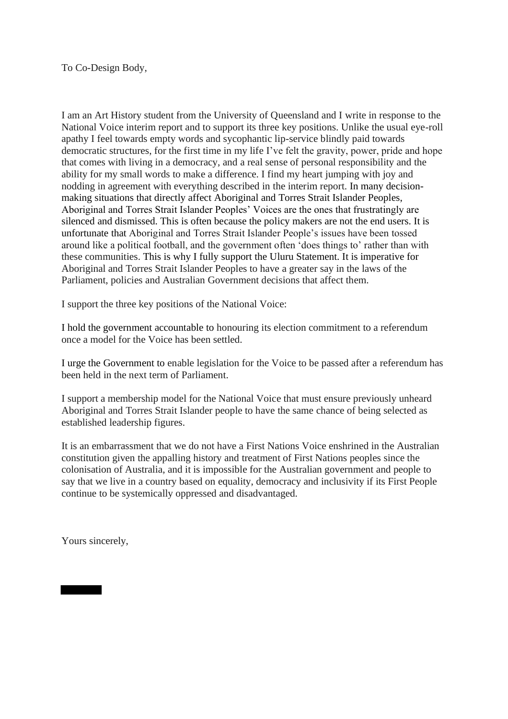To Co-Design Body,

I am an Art History student from the University of Queensland and I write in response to the National Voice interim report and to support its three key positions. Unlike the usual eye-roll apathy I feel towards empty words and sycophantic lip-service blindly paid towards democratic structures, for the first time in my life I've felt the gravity, power, pride and hope that comes with living in a democracy, and a real sense of personal responsibility and the ability for my small words to make a difference. I find my heart jumping with joy and nodding in agreement with everything described in the interim report. In many decisionmaking situations that directly affect Aboriginal and Torres Strait Islander Peoples, Aboriginal and Torres Strait Islander Peoples' Voices are the ones that frustratingly are silenced and dismissed. This is often because the policy makers are not the end users. It is unfortunate that Aboriginal and Torres Strait Islander People's issues have been tossed around like a political football, and the government often 'does things to' rather than with these communities. This is why I fully support the Uluru Statement. It is imperative for Aboriginal and Torres Strait Islander Peoples to have a greater say in the laws of the Parliament, policies and Australian Government decisions that affect them.

I support the three key positions of the National Voice:

I hold the government accountable to honouring its election commitment to a referendum once a model for the Voice has been settled.

I urge the Government to enable legislation for the Voice to be passed after a referendum has been held in the next term of Parliament.

I support a membership model for the National Voice that must ensure previously unheard Aboriginal and Torres Strait Islander people to have the same chance of being selected as established leadership figures.

It is an embarrassment that we do not have a First Nations Voice enshrined in the Australian constitution given the appalling history and treatment of First Nations peoples since the colonisation of Australia, and it is impossible for the Australian government and people to say that we live in a country based on equality, democracy and inclusivity if its First People continue to be systemically oppressed and disadvantaged.

Yours sincerely,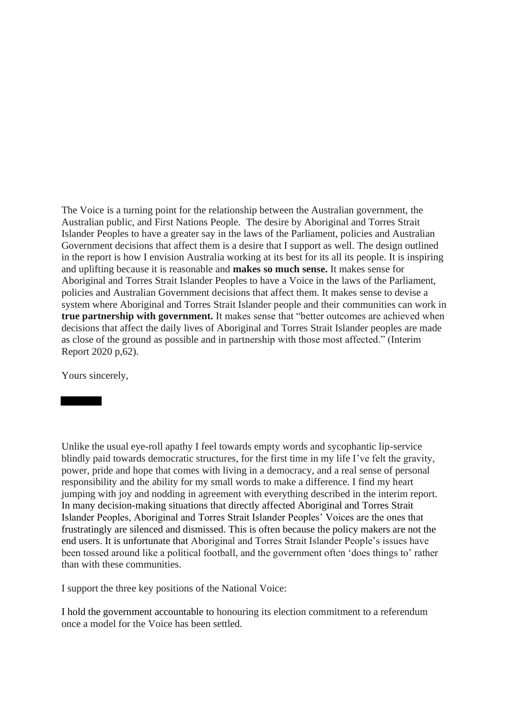The Voice is a turning point for the relationship between the Australian government, the Australian public, and First Nations People. The desire by Aboriginal and Torres Strait Islander Peoples to have a greater say in the laws of the Parliament, policies and Australian Government decisions that affect them is a desire that I support as well. The design outlined in the report is how I envision Australia working at its best for its all its people. It is inspiring and uplifting because it is reasonable and **makes so much sense.** It makes sense for Aboriginal and Torres Strait Islander Peoples to have a Voice in the laws of the Parliament, policies and Australian Government decisions that affect them. It makes sense to devise a system where Aboriginal and Torres Strait Islander people and their communities can work in **true partnership with government.** It makes sense that "better outcomes are achieved when decisions that affect the daily lives of Aboriginal and Torres Strait Islander peoples are made as close of the ground as possible and in partnership with those most affected." (Interim Report 2020 p,62).

Yours sincerely,

Unlike the usual eye-roll apathy I feel towards empty words and sycophantic lip-service blindly paid towards democratic structures, for the first time in my life I've felt the gravity, power, pride and hope that comes with living in a democracy, and a real sense of personal responsibility and the ability for my small words to make a difference. I find my heart jumping with joy and nodding in agreement with everything described in the interim report. In many decision-making situations that directly affected Aboriginal and Torres Strait Islander Peoples, Aboriginal and Torres Strait Islander Peoples' Voices are the ones that frustratingly are silenced and dismissed. This is often because the policy makers are not the end users. It is unfortunate that Aboriginal and Torres Strait Islander People's issues have been tossed around like a political football, and the government often 'does things to' rather than with these communities.

I support the three key positions of the National Voice:

I hold the government accountable to honouring its election commitment to a referendum once a model for the Voice has been settled.